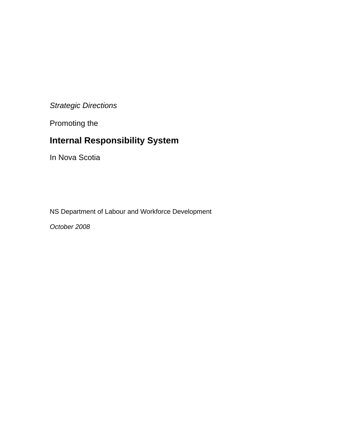## *Strategic Directions*

Promoting the

# **Internal Responsibility System**

In Nova Scotia

NS Department of Labour and Workforce Development

*October 2008*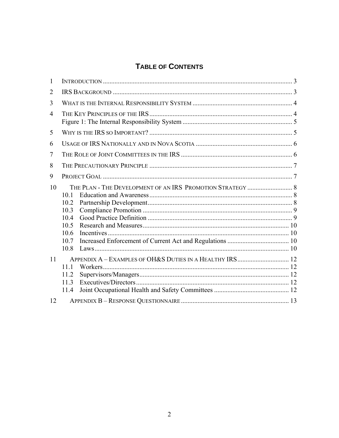## TABLE OF CONTENTS

| 1              |                                                                                                                            |  |  |  |  |  |  |
|----------------|----------------------------------------------------------------------------------------------------------------------------|--|--|--|--|--|--|
| $\overline{2}$ |                                                                                                                            |  |  |  |  |  |  |
| 3              |                                                                                                                            |  |  |  |  |  |  |
| $\overline{4}$ |                                                                                                                            |  |  |  |  |  |  |
| 5              |                                                                                                                            |  |  |  |  |  |  |
| 6              |                                                                                                                            |  |  |  |  |  |  |
| 7              |                                                                                                                            |  |  |  |  |  |  |
| 8              |                                                                                                                            |  |  |  |  |  |  |
| 9              |                                                                                                                            |  |  |  |  |  |  |
| 10             | THE PLAN - THE DEVELOPMENT OF AN IRS PROMOTION STRATEGY  8<br>10.1<br>10.2<br>10.3<br>10.4<br>10.5<br>10.6<br>10.7<br>10.8 |  |  |  |  |  |  |
| 11             | APPENDIX A - EXAMPLES OF OH&S DUTIES IN A HEALTHY IRS 12<br>11.1<br>11.2<br>11.3<br>11.4                                   |  |  |  |  |  |  |
| 12             |                                                                                                                            |  |  |  |  |  |  |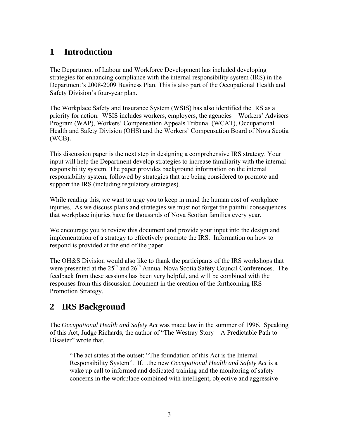## <span id="page-2-0"></span>**1 Introduction**

The Department of Labour and Workforce Development has included developing strategies for enhancing compliance with the internal responsibility system (IRS) in the Department's 2008-2009 Business Plan. This is also part of the Occupational Health and Safety Division's four-year plan.

The Workplace Safety and Insurance System (WSIS) has also identified the IRS as a priority for action. WSIS includes workers, employers, the agencies—[Workers' Advisers](http://www.wsis.ns.ca/index.php?pid=1#wap#wap)  [Program \(WAP\),](http://www.wsis.ns.ca/index.php?pid=1#wap#wap) [Workers' Compensation Appeals Tribunal \(WCAT\),](http://www.wsis.ns.ca/index.php?pid=1#wcat#wcat) [Occupational](http://www.wsis.ns.ca/index.php?pid=1#ohs#ohs)  [Health and Safety Division \(OHS\)](http://www.wsis.ns.ca/index.php?pid=1#ohs#ohs) and the [Workers' Compensation Board of Nova Scotia](http://www.wsis.ns.ca/index.php?pid=1#wcb#wcb)  [\(WCB\)](http://www.wsis.ns.ca/index.php?pid=1#wcb#wcb).

This discussion paper is the next step in designing a comprehensive IRS strategy. Your input will help the Department develop strategies to increase familiarity with the internal responsibility system. The paper provides background information on the internal responsibility system, followed by strategies that are being considered to promote and support the IRS (including regulatory strategies).

While reading this, we want to urge you to keep in mind the human cost of workplace injuries. As we discuss plans and strategies we must not forget the painful consequences that workplace injuries have for thousands of Nova Scotian families every year.

We encourage you to review this document and provide your input into the design and implementation of a strategy to effectively promote the IRS. Information on how to respond is provided at the end of the paper.

The OH&S Division would also like to thank the participants of the IRS workshops that were presented at the  $25<sup>th</sup>$  and  $26<sup>th</sup>$  Annual Nova Scotia Safety Council Conferences. The feedback from these sessions has been very helpful, and will be combined with the responses from this discussion document in the creation of the forthcoming IRS Promotion Strategy.

## **2 IRS Background**

The *Occupational Health and Safety Act* was made law in the summer of 1996. Speaking of this Act, Judge Richards, the author of "The Westray Story – A Predictable Path to Disaster" wrote that,

"The act states at the outset: "The foundation of this Act is the Internal Responsibility System". If…the new *Occupational Health and Safety Act* is a wake up call to informed and dedicated training and the monitoring of safety concerns in the workplace combined with intelligent, objective and aggressive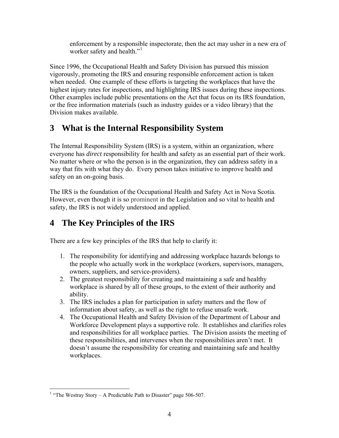enforcement by a responsible inspectorate, then the act may usher in a new era of worker safety and health."<sup>[1](#page-3-1)</sup>

<span id="page-3-0"></span>Since 1996, the Occupational Health and Safety Division has pursued this mission vigorously, promoting the IRS and ensuring responsible enforcement action is taken when needed. One example of these efforts is targeting the workplaces that have the highest injury rates for inspections, and highlighting IRS issues during these inspections. Other examples include public presentations on the Act that focus on its IRS foundation, or the free information materials (such as industry guides or a video library) that the Division makes available.

## **3 What is the Internal Responsibility System**

The Internal Responsibility System (IRS) is a system, within an organization, where everyone has *direct* responsibility for health and safety as an essential part of their work. No matter where or who the person is in the organization, they can address safety in a way that fits with what they do. Every person takes initiative to improve health and safety on an on-going basis.

The IRS is the foundation of the Occupational Health and Safety Act in Nova Scotia. However, even though it is so prominent in the Legislation and so vital to health and safety, the IRS is not widely understood and applied.

## **4 The Key Principles of the IRS**

There are a few key principles of the IRS that help to clarify it:

- 1. The responsibility for identifying and addressing workplace hazards belongs to the people who actually work in the workplace (workers, supervisors, managers, owners, suppliers, and service-providers).
- 2. The greatest responsibility for creating and maintaining a safe and healthy workplace is shared by all of these groups, to the extent of their authority and ability.
- 3. The IRS includes a plan for participation in safety matters and the flow of information about safety, as well as the right to refuse unsafe work.
- 4. The Occupational Health and Safety Division of the Department of Labour and Workforce Development plays a supportive role. It establishes and clarifies roles and responsibilities for all workplace parties. The Division assists the meeting of these responsibilities, and intervenes when the responsibilities aren't met. It doesn't assume the responsibility for creating and maintaining safe and healthy workplaces.

<span id="page-3-1"></span> $\overline{a}$ <sup>1</sup> "The Westray Story – A Predictable Path to Disaster" page 506-507.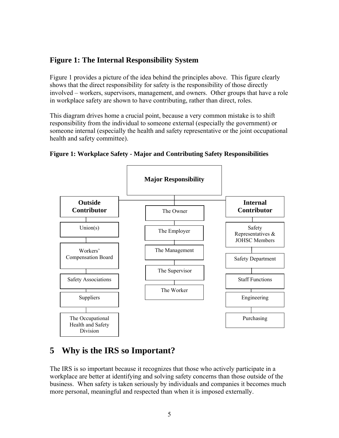## <span id="page-4-0"></span>**Figure 1: The Internal Responsibility System**

Figure 1 provides a picture of the idea behind the principles above. This figure clearly shows that the direct responsibility for safety is the responsibility of those directly involved – workers, supervisors, management, and owners. Other groups that have a role in workplace safety are shown to have contributing, rather than direct, roles.

This diagram drives home a crucial point, because a very common mistake is to shift responsibility from the individual to someone external (especially the government) or someone internal (especially the health and safety representative or the joint occupational health and safety committee).



#### **Figure 1: Workplace Safety - Major and Contributing Safety Responsibilities**

## **5 Why is the IRS so Important?**

The IRS is so important because it recognizes that those who actively participate in a workplace are better at identifying and solving safety concerns than those outside of the business. When safety is taken seriously by individuals and companies it becomes much more personal, meaningful and respected than when it is imposed externally.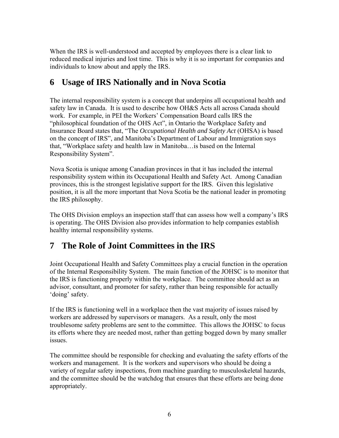<span id="page-5-0"></span>When the IRS is well-understood and accepted by employees there is a clear link to reduced medical injuries and lost time. This is why it is so important for companies and individuals to know about and apply the IRS.

## **6 Usage of IRS Nationally and in Nova Scotia**

The internal responsibility system is a concept that underpins all occupational health and safety law in Canada. It is used to describe how OH&S Acts all across Canada should work. For example, in PEI the Workers' Compensation Board calls IRS the "philosophical foundation of the OHS Act", in Ontario the Workplace Safety and Insurance Board states that, "The *Occupational Health and Safety Act* (OHSA) is based on the concept of IRS", and Manitoba's Department of Labour and Immigration says that, "Workplace safety and health law in Manitoba…is based on the Internal Responsibility System".

Nova Scotia is unique among Canadian provinces in that it has included the internal responsibility system within its Occupational Health and Safety Act. Among Canadian provinces, this is the strongest legislative support for the IRS. Given this legislative position, it is all the more important that Nova Scotia be the national leader in promoting the IRS philosophy.

The OHS Division employs an inspection staff that can assess how well a company's IRS is operating. The OHS Division also provides information to help companies establish healthy internal responsibility systems.

## **7 The Role of Joint Committees in the IRS**

Joint Occupational Health and Safety Committees play a crucial function in the operation of the Internal Responsibility System. The main function of the JOHSC is to monitor that the IRS is functioning properly within the workplace. The committee should act as an advisor, consultant, and promoter for safety, rather than being responsible for actually 'doing' safety.

If the IRS is functioning well in a workplace then the vast majority of issues raised by workers are addressed by supervisors or managers. As a result, only the most troublesome safety problems are sent to the committee. This allows the JOHSC to focus its efforts where they are needed most, rather than getting bogged down by many smaller issues.

The committee should be responsible for checking and evaluating the safety efforts of the workers and management. It is the workers and supervisors who should be doing a variety of regular safety inspections, from machine guarding to musculoskeletal hazards, and the committee should be the watchdog that ensures that these efforts are being done appropriately.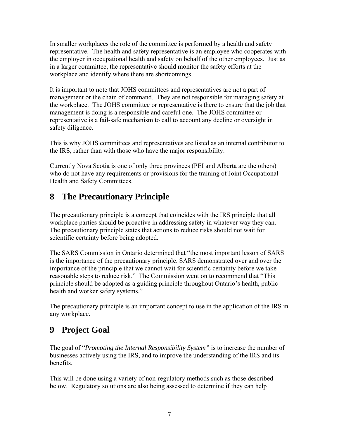<span id="page-6-0"></span>In smaller workplaces the role of the committee is performed by a health and safety representative. The health and safety representative is an employee who cooperates with the employer in occupational health and safety on behalf of the other employees. Just as in a larger committee, the representative should monitor the safety efforts at the workplace and identify where there are shortcomings.

It is important to note that JOHS committees and representatives are not a part of management or the chain of command. They are not responsible for managing safety at the workplace. The JOHS committee or representative is there to ensure that the job that management is doing is a responsible and careful one. The JOHS committee or representative is a fail-safe mechanism to call to account any decline or oversight in safety diligence.

This is why JOHS committees and representatives are listed as an internal contributor to the IRS, rather than with those who have the major responsibility.

Currently Nova Scotia is one of only three provinces (PEI and Alberta are the others) who do not have any requirements or provisions for the training of Joint Occupational Health and Safety Committees.

## **8 The Precautionary Principle**

The precautionary principle is a concept that coincides with the IRS principle that all workplace parties should be proactive in addressing safety in whatever way they can. The precautionary principle states that actions to reduce risks should not wait for scientific certainty before being adopted.

The SARS Commission in Ontario determined that "the most important lesson of SARS is the importance of the precautionary principle. SARS demonstrated over and over the importance of the principle that we cannot wait for scientific certainty before we take reasonable steps to reduce risk." The Commission went on to recommend that "This principle should be adopted as a guiding principle throughout Ontario's health, public health and worker safety systems."

The precautionary principle is an important concept to use in the application of the IRS in any workplace.

## **9 Project Goal**

The goal of "*Promoting the Internal Responsibility System"* is to increase the number of businesses actively using the IRS, and to improve the understanding of the IRS and its benefits.

This will be done using a variety of non-regulatory methods such as those described below. Regulatory solutions are also being assessed to determine if they can help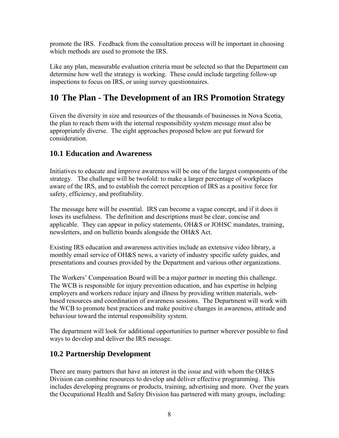<span id="page-7-0"></span>promote the IRS. Feedback from the consultation process will be important in choosing which methods are used to promote the IRS.

Like any plan, measurable evaluation criteria must be selected so that the Department can determine how well the strategy is working. These could include targeting follow-up inspections to focus on IRS, or using survey questionnaires.

## **10 The Plan - The Development of an IRS Promotion Strategy**

Given the diversity in size and resources of the thousands of businesses in Nova Scotia, the plan to reach them with the internal responsibility system message must also be appropriately diverse. The eight approaches proposed below are put forward for consideration.

### **10.1 Education and Awareness**

Initiatives to educate and improve awareness will be one of the largest components of the strategy. The challenge will be twofold: to make a larger percentage of workplaces aware of the IRS, and to establish the correct perception of IRS as a positive force for safety, efficiency, and profitability.

The message here will be essential. IRS can become a vague concept, and if it does it loses its usefulness. The definition and descriptions must be clear, concise and applicable. They can appear in policy statements, OH&S or JOHSC mandates, training, newsletters, and on bulletin boards alongside the OH&S Act.

Existing IRS education and awareness activities include an extensive video library, a monthly email service of OH&S news, a variety of industry specific safety guides, and presentations and courses provided by the Department and various other organizations.

The Workers' Compensation Board will be a major partner in meeting this challenge. The WCB is responsible for injury prevention education, and has expertise in helping employers and workers reduce injury and illness by providing written materials, webbased resources and coordination of awareness sessions. The Department will work with the WCB to promote best practices and make positive changes in awareness, attitude and behaviour toward the internal responsibility system.

The department will look for additional opportunities to partner wherever possible to find ways to develop and deliver the IRS message.

## **10.2 Partnership Development**

There are many partners that have an interest in the issue and with whom the OH&S Division can combine resources to develop and deliver effective programming. This includes developing programs or products, training, advertising and more. Over the years the Occupational Health and Safety Division has partnered with many groups, including: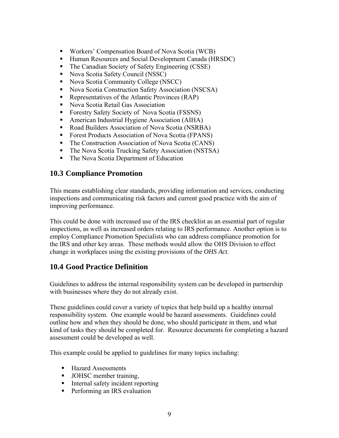- <span id="page-8-0"></span>Workers' Compensation Board of Nova Scotia (WCB)
- Human Resources and Social Development Canada (HRSDC)
- The Canadian Society of Safety Engineering (CSSE)
- Nova Scotia Safety Council (NSSC)
- Nova Scotia Community College (NSCC)
- Nova Scotia Construction Safety Association (NSCSA)
- Representatives of the Atlantic Provinces (RAP)
- Nova Scotia Retail Gas Association
- Forestry Safety Society of Nova Scotia (FSSNS)
- American Industrial Hygiene Association (AIHA)
- Road Builders Association of Nova Scotia (NSRBA)
- **Forest Products Association of Nova Scotia (FPANS)**
- The Construction Association of Nova Scotia (CANS)
- The Nova Scotia Trucking Safety Association (NSTSA)
- The Nova Scotia Department of Education

### **10.3 Compliance Promotion**

This means establishing clear standards, providing information and services, conducting inspections and communicating risk factors and current good practice with the aim of improving performance.

This could be done with increased use of the IRS checklist as an essential part of regular inspections, as well as increased orders relating to IRS performance. Another option is to employ Compliance Promotion Specialists who can address compliance promotion for the IRS and other key areas. These methods would allow the OHS Division to effect change in workplaces using the existing provisions of the *OHS Act*.

### **10.4 Good Practice Definition**

Guidelines to address the internal responsibility system can be developed in partnership with businesses where they do not already exist.

These guidelines could cover a variety of topics that help build up a healthy internal responsibility system. One example would be hazard assessments. Guidelines could outline how and when they should be done, who should participate in them, and what kind of tasks they should be completed for. Resource documents for completing a hazard assessment could be developed as well.

This example could be applied to guidelines for many topics including:

- Hazard Assessments
- **JOHSC** member training,
- **I** Internal safety incident reporting
- **Performing an IRS evaluation**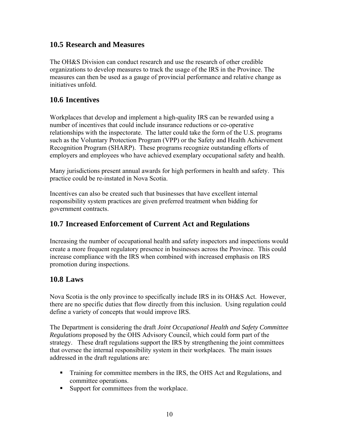### <span id="page-9-0"></span>**10.5 Research and Measures**

The OH&S Division can conduct research and use the research of other credible organizations to develop measures to track the usage of the IRS in the Province. The measures can then be used as a gauge of provincial performance and relative change as initiatives unfold.

### **10.6 Incentives**

Workplaces that develop and implement a high-quality IRS can be rewarded using a number of incentives that could include insurance reductions or co-operative relationships with the inspectorate. The latter could take the form of the U.S. programs such as the Voluntary Protection Program (VPP) or the Safety and Health Achievement Recognition Program (SHARP). These programs recognize outstanding efforts of employers and employees who have achieved exemplary occupational safety and health.

Many jurisdictions present annual awards for high performers in health and safety. This practice could be re-instated in Nova Scotia.

Incentives can also be created such that businesses that have excellent internal responsibility system practices are given preferred treatment when bidding for government contracts.

### **10.7 Increased Enforcement of Current Act and Regulations**

Increasing the number of occupational health and safety inspectors and inspections would create a more frequent regulatory presence in businesses across the Province. This could increase compliance with the IRS when combined with increased emphasis on IRS promotion during inspections.

### **10.8 Laws**

Nova Scotia is the only province to specifically include IRS in its OH&S Act. However, there are no specific duties that flow directly from this inclusion. Using regulation could define a variety of concepts that would improve IRS.

The Department is considering the draft *Joint Occupational Health and Safety Committee Regulations* proposed by the OHS Advisory Council, which could form part of the strategy. These draft regulations support the IRS by strengthening the joint committees that oversee the internal responsibility system in their workplaces. The main issues addressed in the draft regulations are:

- **Training for committee members in the IRS, the OHS Act and Regulations, and** committee operations.
- Support for committees from the workplace.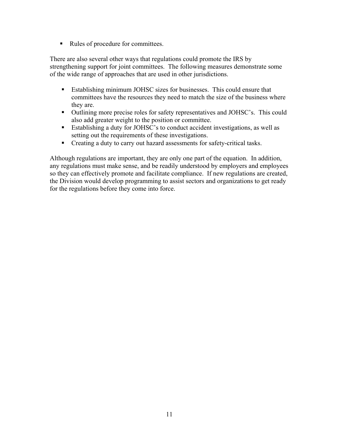Rules of procedure for committees.

There are also several other ways that regulations could promote the IRS by strengthening support for joint committees. The following measures demonstrate some of the wide range of approaches that are used in other jurisdictions.

- Establishing minimum JOHSC sizes for businesses. This could ensure that committees have the resources they need to match the size of the business where they are.
- Outlining more precise roles for safety representatives and JOHSC's. This could also add greater weight to the position or committee.
- Establishing a duty for JOHSC's to conduct accident investigations, as well as setting out the requirements of these investigations.
- Creating a duty to carry out hazard assessments for safety-critical tasks.

Although regulations are important, they are only one part of the equation. In addition, any regulations must make sense, and be readily understood by employers and employees so they can effectively promote and facilitate compliance. If new regulations are created, the Division would develop programming to assist sectors and organizations to get ready for the regulations before they come into force.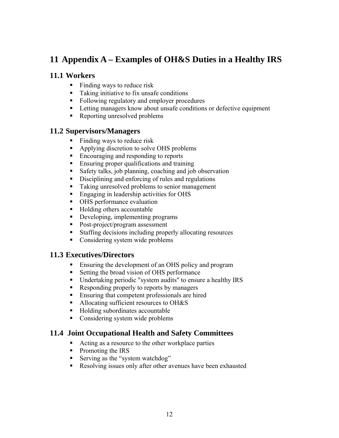## <span id="page-11-0"></span>**11 Appendix A – Examples of OH&S Duties in a Healthy IRS**

### **11.1 Workers**

- $\blacksquare$  Finding ways to reduce risk
- Taking initiative to fix unsafe conditions
- Following regulatory and employer procedures
- Letting managers know about unsafe conditions or defective equipment
- Reporting unresolved problems

### **11.2 Supervisors/Managers**

- Finding ways to reduce risk
- Applying discretion to solve OHS problems
- Encouraging and responding to reports
- **Ensuring proper qualifications and training**
- Safety talks, job planning, coaching and job observation
- Disciplining and enforcing of rules and regulations
- Taking unresolved problems to senior management
- **Engaging in leadership activities for OHS**
- OHS performance evaluation
- Holding others accountable
- Developing, implementing programs
- Post-project/program assessment
- Staffing decisions including properly allocating resources
- Considering system wide problems

### **11.3 Executives/Directors**

- **Ensuring the development of an OHS policy and program**
- Setting the broad vision of OHS performance
- Undertaking periodic "system audits" to ensure a healthy IRS
- Responding properly to reports by managers
- **Ensuring that competent professionals are hired**
- Allocating sufficient resources to OH&S
- Holding subordinates accountable
- Considering system wide problems

### **11.4 Joint Occupational Health and Safety Committees**

- Acting as a resource to the other workplace parties
- Promoting the IRS
- Serving as the "system watchdog"
- Resolving issues only after other avenues have been exhausted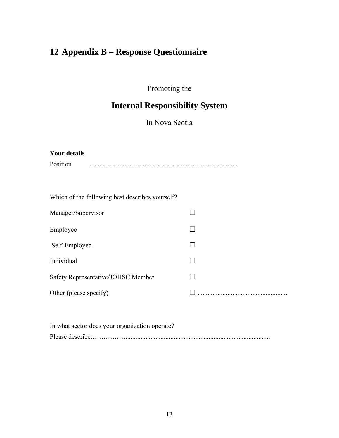# <span id="page-12-0"></span>**12 Appendix B – Response Questionnaire**

Promoting the

# **Internal Responsibility System**

In Nova Scotia

| <b>Your details</b>                             |  |  |  |  |  |  |
|-------------------------------------------------|--|--|--|--|--|--|
| Position                                        |  |  |  |  |  |  |
|                                                 |  |  |  |  |  |  |
|                                                 |  |  |  |  |  |  |
| Which of the following best describes yourself? |  |  |  |  |  |  |
| Manager/Supervisor                              |  |  |  |  |  |  |
| Employee                                        |  |  |  |  |  |  |
| Self-Employed                                   |  |  |  |  |  |  |
| Individual                                      |  |  |  |  |  |  |
| Safety Representative/JOHSC Member              |  |  |  |  |  |  |
| Other (please specify)                          |  |  |  |  |  |  |
|                                                 |  |  |  |  |  |  |

| In what sector does your organization operate? |
|------------------------------------------------|
|                                                |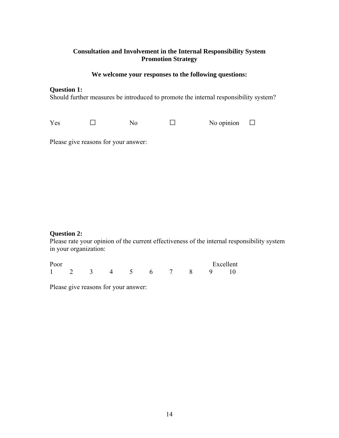### **Consultation and Involvement in the Internal Responsibility System Promotion Strategy**

#### **We welcome your responses to the following questions:**

#### **Question 1:**

Should further measures be introduced to promote the internal responsibility system?

Yes □ No □ No opinion □

Please give reasons for your answer:

#### **Question 2:**

Please rate your opinion of the current effectiveness of the internal responsibility system in your organization:

| Poor |                      |  |  |  | Excellent |
|------|----------------------|--|--|--|-----------|
|      | 1 2 3 4 5 6 7 8 9 10 |  |  |  |           |

Please give reasons for your answer: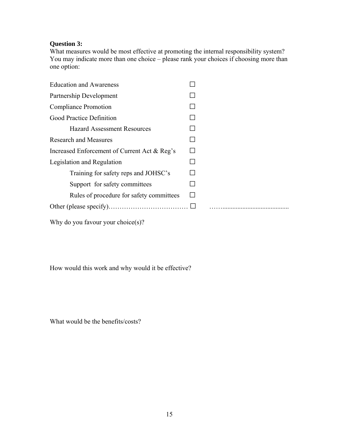### **Question 3:**

What measures would be most effective at promoting the internal responsibility system? You may indicate more than one choice – please rank your choices if choosing more than one option:

| <b>Education and Awareness</b>               |  |
|----------------------------------------------|--|
| Partnership Development                      |  |
| <b>Compliance Promotion</b>                  |  |
| Good Practice Definition                     |  |
| <b>Hazard Assessment Resources</b>           |  |
| <b>Research and Measures</b>                 |  |
| Increased Enforcement of Current Act & Reg's |  |
| Legislation and Regulation                   |  |
| Training for safety reps and JOHSC's         |  |
| Support for safety committees                |  |
| Rules of procedure for safety committees     |  |
|                                              |  |
|                                              |  |

Why do you favour your choice(s)?

How would this work and why would it be effective?

What would be the benefits/costs?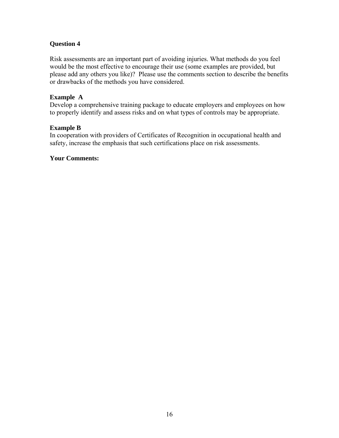#### **Question 4**

Risk assessments are an important part of avoiding injuries. What methods do you feel would be the most effective to encourage their use (some examples are provided, but please add any others you like)? Please use the comments section to describe the benefits or drawbacks of the methods you have considered.

#### **Example A**

Develop a comprehensive training package to educate employers and employees on how to properly identify and assess risks and on what types of controls may be appropriate.

#### **Example B**

In cooperation with providers of Certificates of Recognition in occupational health and safety, increase the emphasis that such certifications place on risk assessments.

#### **Your Comments:**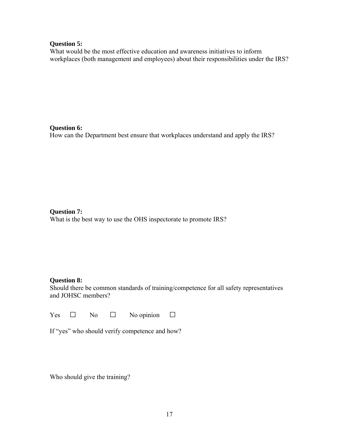#### **Question 5:**

What would be the most effective education and awareness initiatives to inform workplaces (both management and employees) about their responsibilities under the IRS?

**Question 6:** 

How can the Department best ensure that workplaces understand and apply the IRS?

**Question 7:**  What is the best way to use the OHS inspectorate to promote IRS?

#### **Question 8:**

Should there be common standards of training/competence for all safety representatives and JOHSC members?

Yes  $\Box$  No  $\Box$  No opinion  $\Box$ 

|  |  | If "yes" who should verify competence and how? |  |
|--|--|------------------------------------------------|--|
|  |  |                                                |  |

Who should give the training?